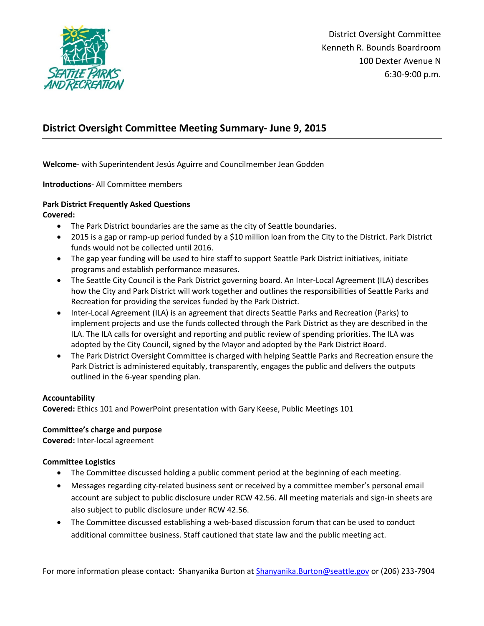

# **District Oversight Committee Meeting Summary- June 9, 2015**

**Welcome**- with Superintendent Jesús Aguirre and Councilmember Jean Godden

**Introductions**- All Committee members

# **Park District Frequently Asked Questions**

**Covered:** 

- The Park District boundaries are the same as the city of Seattle boundaries.
- 2015 is a gap or ramp-up period funded by a \$10 million loan from the City to the District. Park District funds would not be collected until 2016.
- The gap year funding will be used to hire staff to support Seattle Park District initiatives, initiate programs and establish performance measures.
- The Seattle City Council is the Park District governing board. An Inter-Local Agreement (ILA) describes how the City and Park District will work together and outlines the responsibilities of Seattle Parks and Recreation for providing the services funded by the Park District.
- Inter-Local Agreement (ILA) is an agreement that directs Seattle Parks and Recreation (Parks) to implement projects and use the funds collected through the Park District as they are described in the ILA. The ILA calls for oversight and reporting and public review of spending priorities. The ILA was adopted by the City Council, signed by the Mayor and adopted by the Park District Board.
- The Park District Oversight Committee is charged with helping Seattle Parks and Recreation ensure the Park District is administered equitably, transparently, engages the public and delivers the outputs outlined in the 6-year spending plan.

#### **Accountability**

**Covered:** Ethics 101 and PowerPoint presentation with Gary Keese, Public Meetings 101

## **Committee's charge and purpose**

**Covered:** Inter-local agreement

#### **Committee Logistics**

- The Committee discussed holding a public comment period at the beginning of each meeting.
- Messages regarding city-related business sent or received by a committee member's personal email account are subject to public disclosure under RCW 42.56. All meeting materials and sign-in sheets are also subject to public disclosure under RCW 42.56.
- The Committee discussed establishing a web-based discussion forum that can be used to conduct additional committee business. Staff cautioned that state law and the public meeting act.

For more information please contact: Shanyanika Burton at [Shanyanika.Burton@seattle.gov](mailto:Shanyanika.Burton@seattle.gov) or (206) 233-7904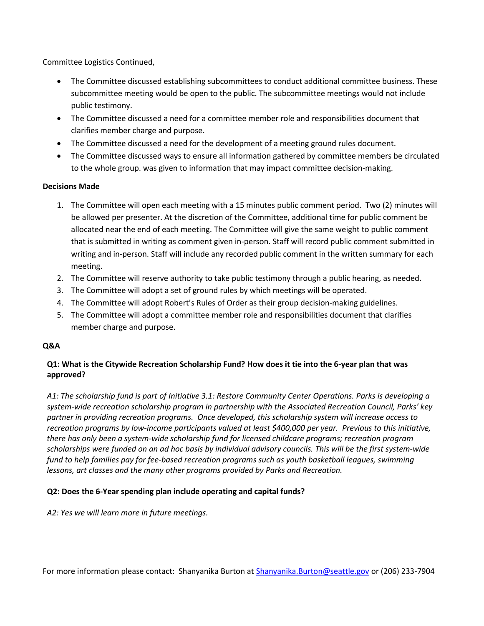Committee Logistics Continued,

- The Committee discussed establishing subcommittees to conduct additional committee business. These subcommittee meeting would be open to the public. The subcommittee meetings would not include public testimony.
- The Committee discussed a need for a committee member role and responsibilities document that clarifies member charge and purpose.
- The Committee discussed a need for the development of a meeting ground rules document.
- The Committee discussed ways to ensure all information gathered by committee members be circulated to the whole group. was given to information that may impact committee decision-making.

#### **Decisions Made**

- 1. The Committee will open each meeting with a 15 minutes public comment period. Two (2) minutes will be allowed per presenter. At the discretion of the Committee, additional time for public comment be allocated near the end of each meeting. The Committee will give the same weight to public comment that is submitted in writing as comment given in-person. Staff will record public comment submitted in writing and in-person. Staff will include any recorded public comment in the written summary for each meeting.
- 2. The Committee will reserve authority to take public testimony through a public hearing, as needed.
- 3. The Committee will adopt a set of ground rules by which meetings will be operated.
- 4. The Committee will adopt Robert's Rules of Order as their group decision-making guidelines.
- 5. The Committee will adopt a committee member role and responsibilities document that clarifies member charge and purpose.

## **Q&A**

# **Q1: What is the Citywide Recreation Scholarship Fund? How does it tie into the 6-year plan that was approved?**

*A1: The scholarship fund is part of Initiative 3.1: Restore Community Center Operations. Parks is developing a system-wide recreation scholarship program in partnership with the Associated Recreation Council, Parks' key partner in providing recreation programs. Once developed, this scholarship system will increase access to recreation programs by low-income participants valued at least \$400,000 per year. Previous to this initiative, there has only been a system-wide scholarship fund for licensed childcare programs; recreation program scholarships were funded on an ad hoc basis by individual advisory councils. This will be the first system-wide fund to help families pay for fee-based recreation programs such as youth basketball leagues, swimming lessons, art classes and the many other programs provided by Parks and Recreation.*

## **Q2: Does the 6-Year spending plan include operating and capital funds?**

*A2: Yes we will learn more in future meetings.*